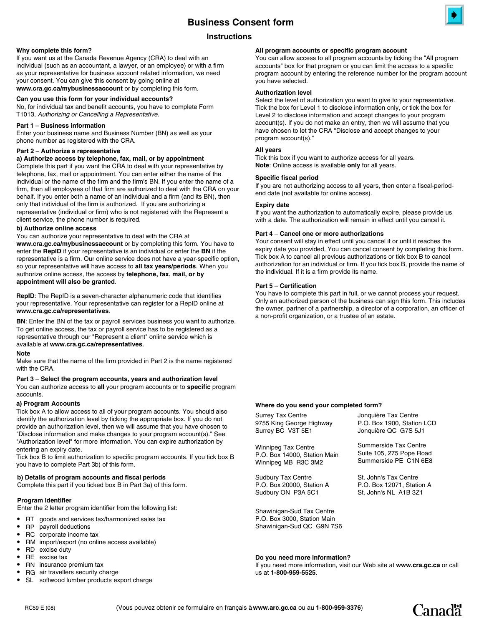# **Instructions**

## **Why complete this form?**

If you want us at the Canada Revenue Agency (CRA) to deal with an individual (such as an accountant, a lawyer, or an employee) or with a firm as your representative for business account related information, we need your consent. You can give this consent by going online at **www.cra.gc.ca/mybusinessaccount** or by completing this form.

## **Can you use this form for your individual accounts?**

No, for individual tax and benefit accounts, you have to complete Form T1013, *Authorizing or Cancelling a Representative.*

## **Part 1** – **Business information**

Enter your business name and Business Number (BN) as well as your phone number as registered with the CRA.

## **Part 2** – **Authorize a representative**

# **a) Authorize access by telephone, fax, mail, or by appointment**

Complete this part if you want the CRA to deal with your representative by telephone, fax, mail or appointment. You can enter either the name of the individual or the name of the firm and the firm's BN. If you enter the name of a firm, then all employees of that firm are authorized to deal with the CRA on your behalf. If you enter both a name of an individual and a firm (and its BN), then only that individual of the firm is authorized. If you are authorizing a representative (individual or firm) who is not registered with the Represent a client service, the phone number is required.

## **b) Authorize online access**

You can authorize your representative to deal with the CRA at **www.cra.gc.ca/mybusinessaccount** or by completing this form. You have to enter the **RepID** if your representative is an individual or enter the **BN** if the representative is a firm. Our online service does not have a year-specific option, so your representative will have access to **all tax years/periods**. When you authorize online access, the access by **telephone, fax, mail, or by appointment will also be granted**.

**RepID**: The RepID is a seven-character alphanumeric code that identifies your representative. Your representative can register for a RepID online at **www.cra.gc.ca/representatives**.

**BN**: Enter the BN of the tax or payroll services business you want to authorize. To get online access, the tax or payroll service has to be registered as a representative through our "Represent a client" online service which is available at **www.cra.gc.ca/representatives**.

## **Note**

Make sure that the name of the firm provided in Part 2 is the name registered with the CRA.

#### **Part 3** – **Select the program accounts, years and authorization level** You can authorize access to **all** your program accounts or to **specific** program

accounts.

## **a) Program Accounts**

Tick box A to allow access to all of your program accounts. You should also identify the authorization level by ticking the appropriate box. If you do not provide an authorization level, then we will assume that you have chosen to "Disclose information and make changes to your program account(s)." See "Authorization level" for more information. You can expire authorization by entering an expiry date.

Tick box B to limit authorization to specific program accounts. If you tick box B you have to complete Part 3b) of this form.

# **b) Details of program accounts and fiscal periods**

Complete this part if you ticked box B in Part 3a) of this form.

## **Program Identifier**

Enter the 2 letter program identifier from the following list:

- RT goods and services tax/harmonized sales tax  $\bullet$
- RP payroll deductions  $\bullet$
- RC corporate income tax  $\bullet$
- RM import/export (no online access available)  $\bullet$
- RD excise duty  $\bullet$
- RE excise tax  $\bullet$
- RN insurance premium tax  $\bullet$
- RG air travellers security charge  $\bullet$
- SL softwood lumber products export charge  $\bullet$

# **All program accounts or specific program account**

You can allow access to all program accounts by ticking the "All program accounts" box for that program or you can limit the access to a specific program account by entering the reference number for the program account you have selected.

## **Authorization level**

Select the level of authorization you want to give to your representative. Tick the box for Level 1 to disclose information only, or tick the box for Level 2 to disclose information and accept changes to your program account(s). If you do not make an entry, then we will assume that you have chosen to let the CRA "Disclose and accept changes to your program account(s)."

## **All years**

Tick this box if you want to authorize access for all years. **Note**: Online access is available **only** for all years.

## **Specific fiscal period**

If you are not authorizing access to all years, then enter a fiscal-periodend date (not available for online access).

## **Expiry date**

If you want the authorization to automatically expire, please provide us with a date. The authorization will remain in effect until you cancel it.

## **Part 4** – **Cancel one or more authorizations**

Your consent will stay in effect until you cancel it or until it reaches the expiry date you provided. You can cancel consent by completing this form. Tick box A to cancel all previous authorizations or tick box B to cancel authorization for an individual or firm. If you tick box B, provide the name of the individual. If it is a firm provide its name.

## **Part 5** – **Certification**

You have to complete this part in full, or we cannot process your request. Only an authorized person of the business can sign this form. This includes the owner, partner of a partnership, a director of a corporation, an officer of a non-profit organization, or a trustee of an estate.

## **Where do you send your completed form?**

| <b>Surrey Tax Centre</b>     | Jonquière Tax Centre       |
|------------------------------|----------------------------|
| 9755 King George Highway     | P.O. Box 1900, Station LCD |
| Surrey BC V3T 5E1            | Jonquière QC G7S 5J1       |
| Winnipeg Tax Centre          | Summerside Tax Centre      |
| P.O. Box 14000, Station Main | Suite 105, 275 Pope Road   |
| Winnipeg MB R3C 3M2          | Summerside PE C1N 6E8      |
| Sudbury Tax Centre           | St. John's Tax Centre      |
| P.O. Box 20000, Station A    | P.O. Box 12071, Station A  |
| Sudbury ON P3A 5C1           | St. John's NL A1B 3Z1      |
| Chaminiana Cud Tay Cantra    |                            |

Shawinigan-Sud Tax Centre P.O. Box 3000, Station Main Shawinigan-Sud QC G9N 7S6

## **Do you need more information?**

If you need more information, visit our Web site at **www.cra.gc.ca** or call us at **1-800-959-5525**.



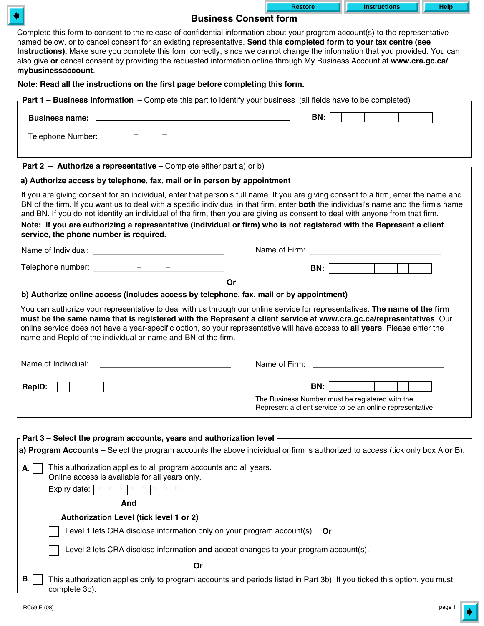|                                                                                                                                                                                                                                                                                                                                                                                                                                                                                                                                                                               | <b>Restore</b>                                                                                                                                                                                                                       | <b>Instructions</b> | Help |  |  |  |
|-------------------------------------------------------------------------------------------------------------------------------------------------------------------------------------------------------------------------------------------------------------------------------------------------------------------------------------------------------------------------------------------------------------------------------------------------------------------------------------------------------------------------------------------------------------------------------|--------------------------------------------------------------------------------------------------------------------------------------------------------------------------------------------------------------------------------------|---------------------|------|--|--|--|
| <b>Business Consent form</b>                                                                                                                                                                                                                                                                                                                                                                                                                                                                                                                                                  |                                                                                                                                                                                                                                      |                     |      |  |  |  |
| Complete this form to consent to the release of confidential information about your program account(s) to the representative<br>named below, or to cancel consent for an existing representative. Send this completed form to your tax centre (see<br>Instructions). Make sure you complete this form correctly, since we cannot change the information that you provided. You can<br>also give or cancel consent by providing the requested information online through My Business Account at www.cra.gc.ca/<br>mybusinessaccount.                                           |                                                                                                                                                                                                                                      |                     |      |  |  |  |
| Note: Read all the instructions on the first page before completing this form.                                                                                                                                                                                                                                                                                                                                                                                                                                                                                                |                                                                                                                                                                                                                                      |                     |      |  |  |  |
| <b>Part 1 – Business information</b> – Complete this part to identify your business (all fields have to be completed) –                                                                                                                                                                                                                                                                                                                                                                                                                                                       |                                                                                                                                                                                                                                      |                     |      |  |  |  |
|                                                                                                                                                                                                                                                                                                                                                                                                                                                                                                                                                                               | <b>BN:</b>                                                                                                                                                                                                                           |                     |      |  |  |  |
| Telephone Number: <u>________________________</u> _____                                                                                                                                                                                                                                                                                                                                                                                                                                                                                                                       |                                                                                                                                                                                                                                      |                     |      |  |  |  |
|                                                                                                                                                                                                                                                                                                                                                                                                                                                                                                                                                                               |                                                                                                                                                                                                                                      |                     |      |  |  |  |
| a) Authorize access by telephone, fax, mail or in person by appointment                                                                                                                                                                                                                                                                                                                                                                                                                                                                                                       |                                                                                                                                                                                                                                      |                     |      |  |  |  |
| If you are giving consent for an individual, enter that person's full name. If you are giving consent to a firm, enter the name and<br>BN of the firm. If you want us to deal with a specific individual in that firm, enter both the individual's name and the firm's name<br>and BN. If you do not identify an individual of the firm, then you are giving us consent to deal with anyone from that firm.<br>Note: If you are authorizing a representative (individual or firm) who is not registered with the Represent a client<br>service, the phone number is required. |                                                                                                                                                                                                                                      |                     |      |  |  |  |
|                                                                                                                                                                                                                                                                                                                                                                                                                                                                                                                                                                               | Name of Firm: <u>contract the contract of the set of the contract of the contract of the contract of the contract of the contract of the contract of the contract of the contract of the contract of the contract of the contrac</u> |                     |      |  |  |  |
| Telephone number: Telephone number:                                                                                                                                                                                                                                                                                                                                                                                                                                                                                                                                           | <b>BN:</b>                                                                                                                                                                                                                           |                     |      |  |  |  |
| b) Authorize online access (includes access by telephone, fax, mail or by appointment)<br>You can authorize your representative to deal with us through our online service for representatives. The name of the firm<br>must be the same name that is registered with the Represent a client service at www.cra.gc.ca/representatives. Our<br>online service does not have a year-specific option, so your representative will have access to all years. Please enter the<br>name and RepId of the individual or name and BN of the firm.                                     |                                                                                                                                                                                                                                      |                     |      |  |  |  |
| Name of Individual:                                                                                                                                                                                                                                                                                                                                                                                                                                                                                                                                                           | Name of Firm:                                                                                                                                                                                                                        |                     |      |  |  |  |
| <b>RepID:</b>                                                                                                                                                                                                                                                                                                                                                                                                                                                                                                                                                                 | BN:                                                                                                                                                                                                                                  |                     |      |  |  |  |
|                                                                                                                                                                                                                                                                                                                                                                                                                                                                                                                                                                               | The Business Number must be registered with the<br>Represent a client service to be an online representative.                                                                                                                        |                     |      |  |  |  |
| Part 3 - Select the program accounts, years and authorization level -                                                                                                                                                                                                                                                                                                                                                                                                                                                                                                         |                                                                                                                                                                                                                                      |                     |      |  |  |  |
| a) Program Accounts - Select the program accounts the above individual or firm is authorized to access (tick only box A or B).                                                                                                                                                                                                                                                                                                                                                                                                                                                |                                                                                                                                                                                                                                      |                     |      |  |  |  |
| This authorization applies to all program accounts and all years.<br>А.<br>Online access is available for all years only.                                                                                                                                                                                                                                                                                                                                                                                                                                                     |                                                                                                                                                                                                                                      |                     |      |  |  |  |
| Expiry date: $ Y Y Y Y W W$                                                                                                                                                                                                                                                                                                                                                                                                                                                                                                                                                   |                                                                                                                                                                                                                                      |                     |      |  |  |  |
| And                                                                                                                                                                                                                                                                                                                                                                                                                                                                                                                                                                           |                                                                                                                                                                                                                                      |                     |      |  |  |  |
| Authorization Level (tick level 1 or 2)                                                                                                                                                                                                                                                                                                                                                                                                                                                                                                                                       |                                                                                                                                                                                                                                      |                     |      |  |  |  |
| Level 1 lets CRA disclose information only on your program account(s)<br>Or                                                                                                                                                                                                                                                                                                                                                                                                                                                                                                   |                                                                                                                                                                                                                                      |                     |      |  |  |  |
| Level 2 lets CRA disclose information and accept changes to your program account(s).                                                                                                                                                                                                                                                                                                                                                                                                                                                                                          |                                                                                                                                                                                                                                      |                     |      |  |  |  |
| Or                                                                                                                                                                                                                                                                                                                                                                                                                                                                                                                                                                            |                                                                                                                                                                                                                                      |                     |      |  |  |  |
| В.<br>This authorization applies only to program accounts and periods listed in Part 3b). If you ticked this option, you must<br>complete 3b).                                                                                                                                                                                                                                                                                                                                                                                                                                |                                                                                                                                                                                                                                      |                     |      |  |  |  |

 $\overline{\mathsf{L}}$ 

 $\blacklozenge$